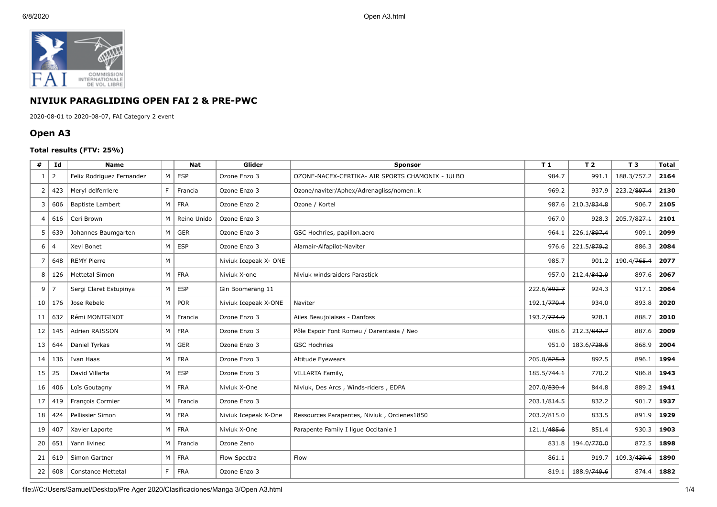

## **NIVIUK PARAGLIDING OPEN FAI 2 & PRE-PWC**

2020-08-01 to 2020-08-07, FAI Category 2 event

## **Open A3**

## **Total results (FTV: 25%)**

| #            | Id             | <b>Name</b>               |                | <b>Nat</b>  | Glider                | <b>Sponsor</b>                                   | T <sub>1</sub>          | T <sub>2</sub>          | T <sub>3</sub>          | <b>Total</b> |
|--------------|----------------|---------------------------|----------------|-------------|-----------------------|--------------------------------------------------|-------------------------|-------------------------|-------------------------|--------------|
| $\mathbf{1}$ | $\overline{2}$ | Felix Rodriguez Fernandez | M              | <b>ESP</b>  | Ozone Enzo 3          | OZONE-NACEX-CERTIKA- AIR SPORTS CHAMONIX - JULBO | 984.7                   | 991.1                   | 188.3/ <del>757.2</del> | 2164         |
| 2            | 423            | Meryl delferriere         | F.             | Francia     | Ozone Enzo 3          | Ozone/naviter/Aphex/Adrenagliss/nomen□k          | 969.2                   | 937.9                   | 223.2/ <del>897.4</del> | 2130         |
| 3            | 606            | <b>Baptiste Lambert</b>   | M              | <b>FRA</b>  | Ozone Enzo 2          | Ozone / Kortel                                   | 987.6                   | 210.3/834.8             | 906.7                   | 2105         |
| 4            | 616            | Ceri Brown                | M              | Reino Unido | Ozone Enzo 3          |                                                  | 967.0                   | 928.3                   | 205.7/827.1             | 2101         |
| 5            | 639            | Johannes Baumgarten       | M              | <b>GER</b>  | Ozone Enzo 3          | GSC Hochries, papillon.aero                      | 964.1                   | 226.1/897.4             | 909.1                   | 2099         |
| 6            | $\overline{4}$ | Xevi Bonet                | M              | <b>ESP</b>  | Ozone Enzo 3          | Alamair-Alfapilot-Naviter                        | 976.6                   | 221.5/879.2             | 886.3                   | 2084         |
| 7            | 648            | <b>REMY Pierre</b>        | M              |             | Niviuk Icepeak X- ONE |                                                  | 985.7                   | 901.2                   | 190.4/765.4             | 2077         |
| 8            | 126            | <b>Mettetal Simon</b>     | M              | <b>FRA</b>  | Niviuk X-one          | Niviuk windsraiders Parastick                    | 957.0                   | 212.4/842.9             | 897.6                   | 2067         |
| 9            | $\overline{7}$ | Sergi Claret Estupinya    | M              | <b>ESP</b>  | Gin Boomerang 11      |                                                  | 222.6/892.7             | 924.3                   | 917.1                   | 2064         |
| 10           | 176            | Jose Rebelo               | M              | <b>POR</b>  | Niviuk Icepeak X-ONE  | Naviter                                          | 192.1/770.4             | 934.0                   | 893.8                   | 2020         |
| 11           | 632            | Rémi MONTGINOT            | M              | Francia     | Ozone Enzo 3          | Ailes Beaujolaises - Danfoss                     | 193.2/774.9             | 928.1                   | 888.7                   | 2010         |
| 12           | 145            | Adrien RAISSON            | M              | <b>FRA</b>  | Ozone Enzo 3          | Pôle Espoir Font Romeu / Darentasia / Neo        | 908.6                   | 212.3/842.7             | 887.6                   | 2009         |
| 13           | 644            | Daniel Tyrkas             | M              | <b>GER</b>  | Ozone Enzo 3          | <b>GSC Hochries</b>                              | 951.0                   | 183.6/728.5             | 868.9                   | 2004         |
| 14           | 136            | Ivan Haas                 | M              | <b>FRA</b>  | Ozone Enzo 3          | Altitude Eyewears                                | 205.8/825.3             | 892.5                   | 896.1                   | 1994         |
| 15           | 25             | David Villarta            | M              | <b>ESP</b>  | Ozone Enzo 3          | VILLARTA Family,                                 | 185.5/744.1             | 770.2                   | 986.8                   | 1943         |
| 16           | 406            | Loïs Goutagny             | M <sub>1</sub> | <b>FRA</b>  | Niviuk X-One          | Niviuk, Des Arcs, Winds-riders, EDPA             | 207.0/830.4             | 844.8                   | 889.2                   | 1941         |
| 17           | 419            | François Cormier          | M              | Francia     | Ozone Enzo 3          |                                                  | 203.1/814.5             | 832.2                   | 901.7                   | 1937         |
| 18           | 424            | Pellissier Simon          | M              | <b>FRA</b>  | Niviuk Icepeak X-One  | Ressources Parapentes, Niviuk, Orcienes1850      | 203.2/815.0             | 833.5                   | 891.9                   | 1929         |
| 19           | 407            | Xavier Laporte            | M              | <b>FRA</b>  | Niviuk X-One          | Parapente Family I ligue Occitanie I             | 121.1/ <del>485.6</del> | 851.4                   | 930.3                   | 1903         |
| 20           | 651            | Yann livinec              | M              | Francia     | Ozone Zeno            |                                                  | 831.8                   | 194.0/770.0             | 872.5                   | 1898         |
| 21           | 619            | Simon Gartner             | M              | <b>FRA</b>  | Flow Spectra          | Flow                                             | 861.1                   | 919.7                   | 109.3/ <del>439.6</del> | 1890         |
| 22           | 608            | <b>Constance Mettetal</b> | F.             | <b>FRA</b>  | Ozone Enzo 3          |                                                  | 819.1                   | 188.9/ <del>749.6</del> | 874.4                   | 1882         |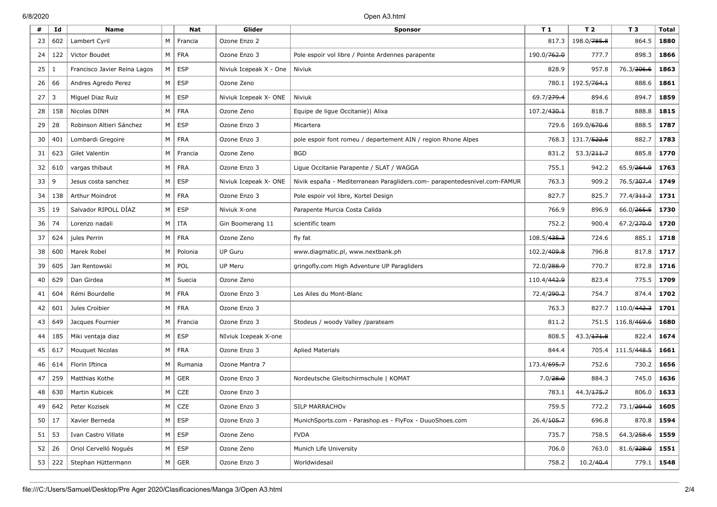| #  | Id            | <b>Name</b>                  |                | Nat           | Glider                 | <b>Sponsor</b>                                                            | T 1                    | T <sub>2</sub>         | T 3                    | Total          |
|----|---------------|------------------------------|----------------|---------------|------------------------|---------------------------------------------------------------------------|------------------------|------------------------|------------------------|----------------|
| 23 | 602           | Lambert Cyril                | M              | Francia       | Ozone Enzo 2           |                                                                           | 817.3                  | 198.0/785.8            | 864.5                  | 1880           |
| 24 | 122           | Victor Boudet                | M              | <b>FRA</b>    | Ozone Enzo 3           | Pole espoir vol libre / Pointe Ardennes parapente                         | 190.0/762.0            | 777.7                  | 898.3                  | 1866           |
| 25 | 1             | Francisco Javier Reina Lagos | M              | <b>ESP</b>    | Niviuk Icepeak X - One | Niviuk                                                                    | 828.9                  | 957.8                  | 76.3/306.6             | 1863           |
| 26 | 66            | Andres Agredo Perez          | M              | <b>ESP</b>    | Ozone Zeno             |                                                                           | 780.1                  | 192.5/764.1            | 888.6                  | 1861           |
| 27 | 3             | Miguel Diaz Ruiz             | M              | <b>ESP</b>    | Niviuk Icepeak X- ONE  | Niviuk                                                                    | 69.7/ <del>279.4</del> | 894.6                  | 894.7                  | 1859           |
| 28 | 158           | Nicolas DINH                 | M              | <b>FRA</b>    | Ozone Zeno             | Equipe de ligue Occitanie)   Alixa                                        | 107.2/430.1            | 818.7                  | 888.8                  | 1815           |
| 29 | 28            | Robinson Altieri Sánchez     | M              | <b>ESP</b>    | Ozone Enzo 3           | Micartera                                                                 | 729.6                  | 169.0/670.6            | 888.5                  | 1787           |
| 30 | 401           | Lombardi Gregoire            | M <sub>1</sub> | <b>FRA</b>    | Ozone Enzo 3           | pole espoir font romeu / departement AIN / region Rhone Alpes             | 768.3                  | 131.7/522.5            | 882.7                  | 1783           |
| 31 | 623           | Gilet Valentin               | M              | Francia       | Ozone Zeno             | <b>BGD</b>                                                                | 831.2                  | 53.3/ <del>211.7</del> | 885.8                  | 1770           |
| 32 | 610           | vargas thibaut               | М              | <b>FRA</b>    | Ozone Enzo 3           | Ligue Occitanie Parapente / SLAT / WAGGA                                  | 755.1                  | 942.2                  | 65.9/ <del>264.9</del> | 1763           |
| 33 | 9             | Jesus costa sanchez          | M              | <b>ESP</b>    | Niviuk Icepeak X- ONE  | Nivik españa - Mediterranean Paragliders.com- parapentedesnivel.com-FAMUR | 763.3                  | 909.2                  | 76.5/ <del>307.4</del> | 1749           |
| 34 | 138           | Arthur Moindrot              | M              | <b>FRA</b>    | Ozone Enzo 3           | Pole espoir vol libre, Kortel Design                                      | 827.7                  | 825.7                  | 77.4/ <del>311.2</del> | 1731           |
| 35 | 19            | Salvador RIPOLL DÍAZ         | M              | <b>ESP</b>    | Niviuk X-one           | Parapente Murcia Costa Calida                                             | 766.9                  | 896.9                  | 66.0/ <del>265.5</del> | 1730           |
| 36 | 74            | Lorenzo nadali               | M              | ITA           | Gin Boomerang 11       | scientific team                                                           | 752.2                  | 900.4                  | 67.2/ <del>270.0</del> | 1720           |
| 37 | 624           | jules Perrin                 | M              | <b>FRA</b>    | Ozone Zeno             | fly fat                                                                   | 108.5/435.3            | 724.6                  | 885.1                  | 1718           |
| 38 | 600           | Marek Robel                  | M              | Polonia       | <b>UP Guru</b>         | www.diagmatic.pl, www.nextbank.ph                                         | 102.2/409.8            | 796.8                  | 817.8                  | 1717           |
| 39 | 605           | Jan Rentowski                | M              | POL           | UP Meru                | gring ofly.com High Adventure UP Paragliders                              | 72.0/ <del>288.9</del> | 770.7                  | 872.8                  | 1716           |
| 40 | 629           | Dan Girdea                   | M              | Suecia        | Ozone Zeno             |                                                                           | 110.4/442.9            | 823.4                  | 775.5                  | 1709           |
| 41 | 604           | Rémi Bourdelle               | M              | <b>FRA</b>    | Ozone Enzo 3           | Les Ailes du Mont-Blanc                                                   | 72.4/290.2             | 754.7                  | 874.4                  | 1702           |
| 42 | 601           | Jules Croibier               | M              | <b>FRA</b>    | Ozone Enzo 3           |                                                                           | 763.3                  | 827.7                  | 110.0/442.3            | 1701           |
| 43 | 649           | Jacques Fournier             | M              | Francia       | Ozone Enzo 3           | Stodeus / woody Valley /parateam                                          | 811.2                  | 751.5                  | 116.8/469.6            | 1680           |
| 44 | 185           | Miki ventaja diaz            | M              | <b>ESP</b>    | NIviuk Icepeak X-one   |                                                                           | 808.5                  | 43.3 / 171.8           | 822.4                  | 1674           |
| 45 | 617           | Mouquet Nicolas              | M              | <b>FRA</b>    | Ozone Enzo 3           | <b>Aplied Materials</b>                                                   | 844.4                  | 705.4                  | 111.5/448.5            | 1661           |
| 46 | 614           | Florin Iftinca               | M              | Rumania       | Ozone Mantra 7         |                                                                           | 173.4/695.7            | 752.6                  | 730.2                  | 1656           |
| 47 | 259           | Matthias Kothe               | M              | GER           | Ozone Enzo 3           | Nordeutsche Gleitschirmschule   KOMAT                                     | 7.0/28.0               | 884.3                  | 745.0                  | 1636           |
| 48 | 630           | Martin Kubicek               | M              | <b>CZE</b>    | Ozone Enzo 3           |                                                                           | 783.1                  | 44.3 / 175.7           | 806.0                  | 1633           |
| 49 | 642           | Peter Kozisek                |                | $M \vert CZE$ | Ozone Enzo 3           | SILP MARRACHOv                                                            | 759.5                  | 772.2                  | 73.1/294.0             | 1605           |
|    | $50 \mid 17$  | Xavier Berneda               |                | $M \vert ESP$ | Ozone Enzo 3           | MunichSports.com - Parashop.es - FlyFox - DuuoShoes.com                   | 26.4/ <del>105.7</del> | 696.8                  |                        | $870.8$   1594 |
|    | 51   53       | Ivan Castro Villate          |                | $M \vert ESP$ | Ozone Zeno             | <b>FVDA</b>                                                               | 735.7                  | 758.5                  | $64.3/258.6$   1559    |                |
|    | $52 \mid 26$  | Oriol Cervelló Nogués        |                | $M \vert$ ESP | Ozone Zeno             | Munich Life University                                                    | 706.0                  | 763.0                  | 81.6/328.0             | 1551           |
|    | $53 \mid 222$ | Stephan Hüttermann           |                | $M \vert$ GER | Ozone Enzo 3           | Worldwidesail                                                             | 758.2                  | 10.2/40.4              |                        | $779.1$ 1548   |
|    |               |                              |                |               |                        |                                                                           |                        |                        |                        |                |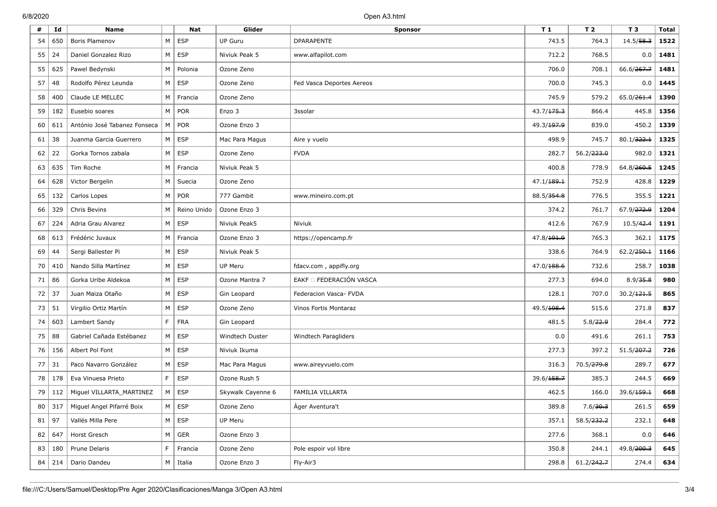| #  | Id                  | <b>Name</b>                        |    | Nat              | Glider            | <b>Sponsor</b>            | T <sub>1</sub>         | T <sub>2</sub> | T <sub>3</sub>         | <b>Total</b> |
|----|---------------------|------------------------------------|----|------------------|-------------------|---------------------------|------------------------|----------------|------------------------|--------------|
| 54 | 650                 | Boris Plamenov                     | M  | <b>ESP</b>       | <b>UP Guru</b>    | <b>DPARAPENTE</b>         | 743.5                  | 764.3          | 14.5/58.3              | 1522         |
| 55 | 24                  | Daniel Gonzalez Rizo               | M  | <b>ESP</b>       | Niviuk Peak 5     | www.alfapilot.com         | 712.2                  | 768.5          | 0.0                    | 1481         |
| 55 | 625                 | Pawel Bedynski                     | M  | Polonia          | Ozone Zeno        |                           | 706.0                  | 708.1          | 66.6/267.7             | 1481         |
| 57 | 48                  | Rodolfo Pérez Leunda               | M  | <b>ESP</b>       | Ozone Zeno        | Fed Vasca Deportes Aereos | 700.0                  | 745.3          | 0.0                    | 1445         |
| 58 | 400                 | Claude LE MELLEC                   | M  | Francia          | Ozone Zeno        |                           | 745.9                  | 579.2          | 65.0/ <del>261.4</del> | 1390         |
| 59 | 182                 | Eusebio soares                     | M  | POR              | Enzo 3            | 3ssolar                   | 43.7/ <del>175.3</del> | 866.4          | 445.8                  | 1356         |
| 60 | 611                 | António José Tabanez Fonseca       | M  | <b>POR</b>       | Ozone Enzo 3      |                           | 49.3/ <del>197.9</del> | 839.0          | 450.2                  | 1339         |
| 61 | 38                  | Juanma Garcia Guerrero             | M  | <b>ESP</b>       | Mac Para Magus    | Aire y vuelo              | 498.9                  | 745.7          | 80.1/322.1             | 1325         |
| 62 | 22                  | Gorka Tornos zabala                | M  | <b>ESP</b>       | Ozone Zeno        | <b>FVDA</b>               | 282.7                  | 56.2/223.0     | 982.0                  | 1321         |
| 63 | 635                 | Tim Roche                          | M  | Francia          | Niviuk Peak 5     |                           | 400.8                  | 778.9          | 64.8/ <del>260.5</del> | 1245         |
| 64 | 628                 | Victor Bergelin                    | M  | Suecia           | Ozone Zeno        |                           | 47.1/ <del>189.1</del> | 752.9          | 428.8                  | 1229         |
| 65 | 132                 | Carlos Lopes                       | M  | <b>POR</b>       | 777 Gambit        | www.mineiro.com.pt        | 88.5/354.8             | 776.5          | 355.5                  | 1221         |
| 66 | 329                 | Chris Bevins                       | M  | Reino Unido      | Ozone Enzo 3      |                           | 374.2                  | 761.7          | 67.9/ <del>272.9</del> | 1204         |
| 67 | 224                 | Adria Grau Alvarez                 | M  | <b>ESP</b>       | Niviuk Peak5      | Niviuk                    | 412.6                  | 767.9          | 10.5/42.4              | 1191         |
| 68 | 613                 | Frédéric Juvaux                    | M  | Francia          | Ozone Enzo 3      | https://opencamp.fr       | 47.8/ <del>191.9</del> | 765.3          | 362.1                  | 1175         |
| 69 | 44                  | Sergi Ballester Pi                 | M  | <b>ESP</b>       | Niviuk Peak 5     |                           | 338.6                  | 764.9          | 62.2/250.1             | 1166         |
| 70 | 410                 | Nando Silla Martínez               | M  | <b>ESP</b>       | UP Meru           | fdacv.com, appifly.org    | 47.0/188.6             | 732.6          | 258.7                  | 1038         |
| 71 | 86                  | Gorka Uribe Aldekoa                | M  | <b>ESP</b>       | Ozone Mantra 7    | EAKF O FEDERACIÓN VASCA   | 277.3                  | 694.0          | 8.9/35.8               | 980          |
| 72 | 37                  | Juan Maiza Otaño                   | M  | <b>ESP</b>       | Gin Leopard       | Federacion Vasca- FVDA    | 128.1                  | 707.0          | 30.2/121.5             | 865          |
| 73 | 51                  | Virgilio Ortiz Martín              | M  | <b>ESP</b>       | Ozone Zeno        | Vinos Fortis Montaraz     | 49.5/198.4             | 515.6          | 271.8                  | 837          |
| 74 | 603                 | Lambert Sandy                      | F. | <b>FRA</b>       | Gin Leopard       |                           | 481.5                  | 5.8/22.9       | 284.4                  | 772          |
| 75 | 88                  | Gabriel Cañada Estébanez           | М  | <b>ESP</b>       | Windtech Duster   | Windtech Paragliders      | 0.0                    | 491.6          | 261.1                  | 753          |
| 76 | 156                 | Albert Pol Font                    | M  | <b>ESP</b>       | Niviuk Ikuma      |                           | 277.3                  | 397.2          | 51.5/207.2             | 726          |
| 77 | 31                  | Paco Navarro González              | M  | <b>ESP</b>       | Mac Para Magus    | www.aireyvuelo.com        | 316.3                  | 70.5/279.8     | 289.7                  | 677          |
| 78 | 178                 | Eva Vinuesa Prieto                 | F. | <b>ESP</b>       | Ozone Rush 5      |                           | 39.6/ <del>158.7</del> | 385.3          | 244.5                  | 669          |
| 79 | 112                 | Miguel VILLARTA MARTINEZ           | M  | <b>ESP</b>       | Skywalk Cayenne 6 | FAMILIA VILLARTA          | 462.5                  | 166.0          | 39.6/159.1             | 668          |
|    |                     | 80 317   Miguel Angel Pifarré Boix |    | $M \vert$ ESP    | Ozone Zeno        | Àger Aventura't           | 389.8                  | 7.6/30.3       | 261.5                  | 659          |
|    | $81$   97           | Vallés Milla Pere                  |    | $M \vert$ ESP    | UP Meru           |                           | 357.1                  | 58.5/232.2     | 232.1                  | 648          |
|    | 82   647            | Horst Gresch                       |    | $M \vert$ GER    | Ozone Enzo 3      |                           | 277.6                  | 368.1          | 0.0                    | 646          |
| 83 | $\vert$ 180 $\vert$ | Prune Delaris                      | F. | Francia          | Ozone Zeno        | Pole espoir vol libre     | 350.8                  | 244.1          | 49.8/ <del>200.3</del> | 645          |
|    | $84$   214          | Dario Dandeu                       |    | $M \vert$ Italia | Ozone Enzo 3      | Fly-Air3                  | 298.8                  | 61.2/242.7     | 274.4                  | 634          |